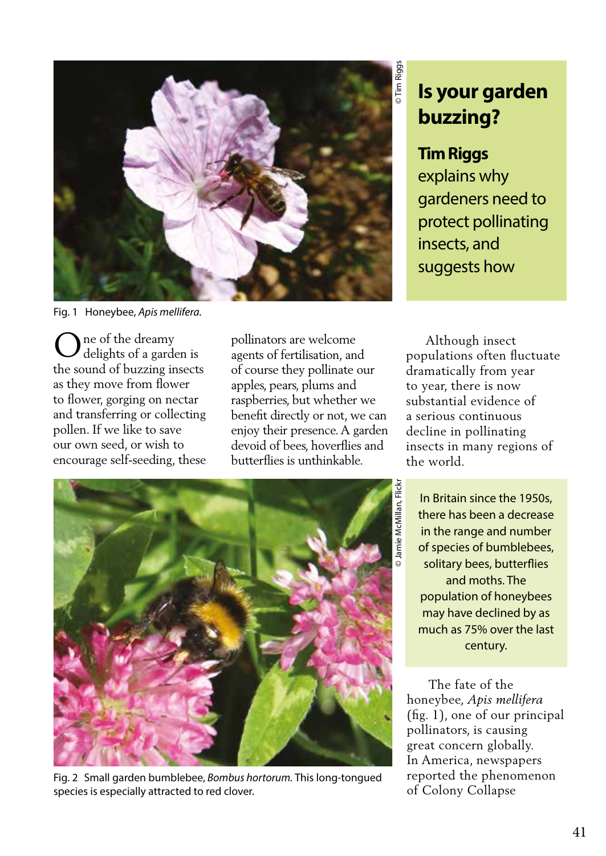

Fig. 1 Honeybee, *Apis mellifera.*

ne of the dreamy delights of a garden is the sound of buzzing insects as they move from flower to flower, gorging on nectar and transferring or collecting pollen. If we like to save our own seed, or wish to encourage self-seeding, these O pollinators are welcome agents of fertilisation, and

of course they pollinate our apples, pears, plums and raspberries, but whether we benefit directly or not, we can enjoy their presence. A garden devoid of bees, hoverflies and butterflies is unthinkable.



## **Tim Riggs**

explains why gardeners need to protect pollinating insects, and suggests how

 Although insect populations often fluctuate dramatically from year to year, there is now substantial evidence of a serious continuous decline in pollinating insects in many regions of the world.



Fig. 2Small garden bumblebee, *Bombus hortorum.* This long-tongued species is especially attracted to red clover.

In Britain since the 1950s, there has been a decrease in the range and number of species of bumblebees, solitary bees, butterflies and moths. The population of honeybees may have declined by as much as 75% over the last century.

 The fate of the honeybee, *Apis mellifera* (fig. 1), one of our principal pollinators, is causing great concern globally. In America, newspapers reported the phenomenon of Colony Collapse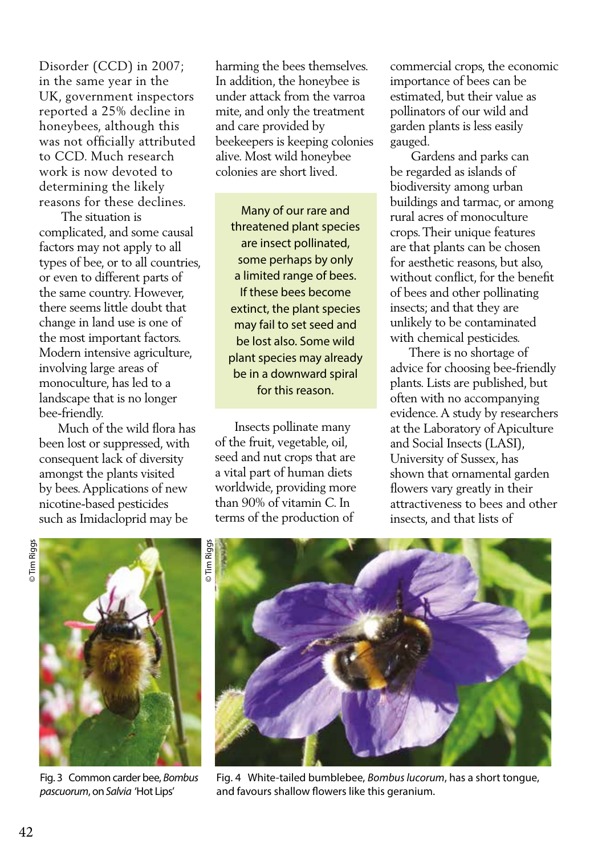Disorder (CCD) in 2007; in the same year in the UK, government inspectors reported a 25% decline in honeybees, although this was not officially attributed to CCD. Much research work is now devoted to determining the likely reasons for these declines.

 The situation is complicated, and some causal factors may not apply to all types of bee, or to all countries, or even to different parts of the same country. However, there seems little doubt that change in land use is one of the most important factors. Modern intensive agriculture, involving large areas of monoculture, has led to a landscape that is no longer bee-friendly.

 Much of the wild flora has been lost or suppressed, with consequent lack of diversity amongst the plants visited by bees. Applications of new nicotine-based pesticides such as Imidacloprid may be

harming the bees themselves. In addition, the honeybee is under attack from the varroa mite, and only the treatment and care provided by beekeepers is keeping colonies alive. Most wild honeybee colonies are short lived.

Many of our rare and threatened plant species are insect pollinated, some perhaps by only a limited range of bees. If these bees become extinct, the plant species may fail to set seed and be lost also. Some wild plant species may already be in a downward spiral for this reason.

 Insects pollinate many of the fruit, vegetable, oil, seed and nut crops that are a vital part of human diets worldwide, providing more than 90% of vitamin C. In terms of the production of

commercial crops, the economic importance of bees can be estimated, but their value as pollinators of our wild and garden plants is less easily gauged.

 Gardens and parks can be regarded as islands of biodiversity among urban buildings and tarmac, or among rural acres of monoculture crops. Their unique features are that plants can be chosen for aesthetic reasons, but also, without conflict, for the benefit of bees and other pollinating insects; and that they are unlikely to be contaminated with chemical pesticides.

 There is no shortage of advice for choosing bee-friendly plants. Lists are published, but often with no accompanying evidence. A study by researchers at the Laboratory of Apiculture and Social Insects (LASI), University of Sussex, has shown that ornamental garden flowers vary greatly in their attractiveness to bees and other insects, and that lists of



Fig. 3 Common carder bee, *Bombus pascuorum*, on *Salvia* 'Hot Lips'



Fig. 4 White-tailed bumblebee, *Bombus lucorum*, has a short tongue, and favours shallow flowers like this geranium.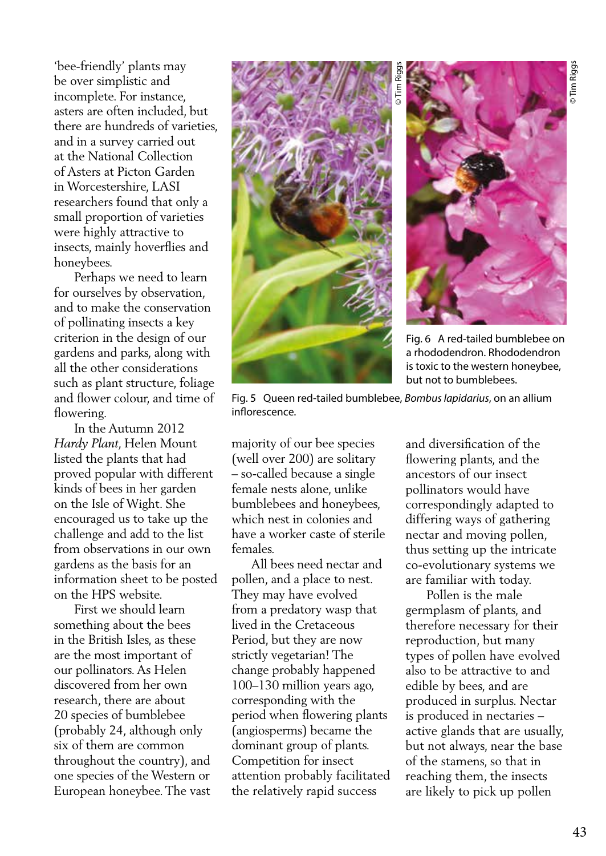'bee-friendly' plants may be over simplistic and incomplete. For instance, asters are often included, but there are hundreds of varieties, and in a survey carried out at the National Collection of Asters at Picton Garden in Worcestershire, LASI researchers found that only a small proportion of varieties were highly attractive to insects, mainly hoverflies and honeybees.

 Perhaps we need to learn for ourselves by observation, and to make the conservation of pollinating insects a key criterion in the design of our gardens and parks, along with all the other considerations such as plant structure, foliage and flower colour, and time of flowering.

 In the Autumn 2012 *Hardy Plant*, Helen Mount listed the plants that had proved popular with different kinds of bees in her garden on the Isle of Wight. She encouraged us to take up the challenge and add to the list from observations in our own gardens as the basis for an information sheet to be posted on the HPS website.

 First we should learn something about the bees in the British Isles, as these are the most important of our pollinators. As Helen discovered from her own research, there are about 20 species of bumblebee (probably 24, although only six of them are common throughout the country), and one species of the Western or European honeybee. The vast





Fig. 6 A red-tailed bumblebee on a rhododendron. Rhododendron is toxic to the western honeybee, but not to bumblebees.

Fig. 5 Queen red-tailed bumblebee, *Bombus lapidarius*, on an allium inflorescence.

majority of our bee species (well over 200) are solitary – so-called because a single female nests alone, unlike bumblebees and honeybees, which nest in colonies and have a worker caste of sterile females.

 All bees need nectar and pollen, and a place to nest. They may have evolved from a predatory wasp that lived in the Cretaceous Period, but they are now strictly vegetarian! The change probably happened 100–130 million years ago, corresponding with the period when flowering plants (angiosperms) became the dominant group of plants. Competition for insect attention probably facilitated the relatively rapid success

and diversification of the flowering plants, and the ancestors of our insect pollinators would have correspondingly adapted to differing ways of gathering nectar and moving pollen, thus setting up the intricate co-evolutionary systems we are familiar with today.

 Pollen is the male germplasm of plants, and therefore necessary for their reproduction, but many types of pollen have evolved also to be attractive to and edible by bees, and are produced in surplus. Nectar is produced in nectaries – active glands that are usually, but not always, near the base of the stamens, so that in reaching them, the insects are likely to pick up pollen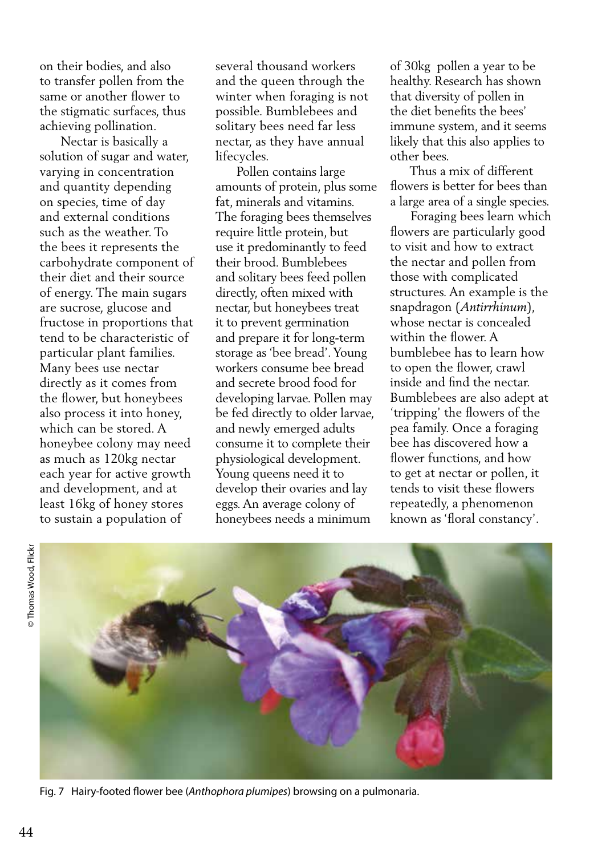on their bodies, and also to transfer pollen from the same or another flower to the stigmatic surfaces, thus achieving pollination.

 Nectar is basically a solution of sugar and water, varying in concentration and quantity depending on species, time of day and external conditions such as the weather. To the bees it represents the carbohydrate component of their diet and their source of energy. The main sugars are sucrose, glucose and fructose in proportions that tend to be characteristic of particular plant families. Many bees use nectar directly as it comes from the flower, but honeybees also process it into honey, which can be stored. A honeybee colony may need as much as 120kg nectar each year for active growth and development, and at least 16kg of honey stores to sustain a population of

several thousand workers and the queen through the winter when foraging is not possible. Bumblebees and solitary bees need far less nectar, as they have annual lifecycles.

 Pollen contains large amounts of protein, plus some fat, minerals and vitamins. The foraging bees themselves require little protein, but use it predominantly to feed their brood. Bumblebees and solitary bees feed pollen directly, often mixed with nectar, but honeybees treat it to prevent germination and prepare it for long-term storage as 'bee bread'. Young workers consume bee bread and secrete brood food for developing larvae. Pollen may be fed directly to older larvae, and newly emerged adults consume it to complete their physiological development. Young queens need it to develop their ovaries and lay eggs. An average colony of honeybees needs a minimum

of 30kg pollen a year to be healthy. Research has shown that diversity of pollen in the diet benefits the bees' immune system, and it seems likely that this also applies to other bees.

 Thus a mix of different flowers is better for bees than a large area of a single species.

 Foraging bees learn which flowers are particularly good to visit and how to extract the nectar and pollen from those with complicated structures. An example is the snapdragon (*Antirrhinum*), whose nectar is concealed within the flower. A bumblebee has to learn how to open the flower, crawl inside and find the nectar. Bumblebees are also adept at 'tripping' the flowers of the pea family. Once a foraging bee has discovered how a flower functions, and how to get at nectar or pollen, it tends to visit these flowers repeatedly, a phenomenon known as 'floral constancy'.



© Thomas Wood, Flickr

© Thomas Wood, Flickn



Fig. 7 Hairy-footed flower bee (*Anthophora plumipes*) browsing on a pulmonaria.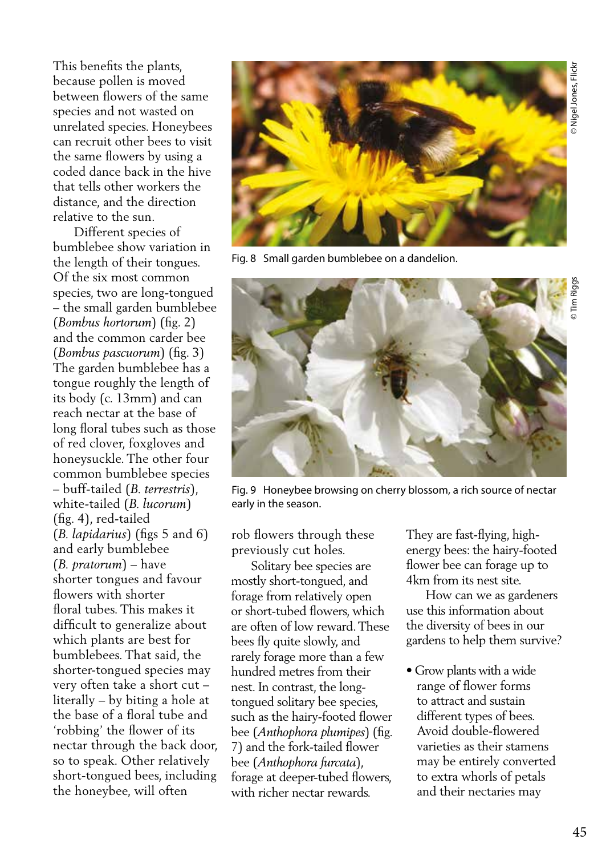This benefits the plants, because pollen is moved between flowers of the same species and not wasted on unrelated species. Honeybees can recruit other bees to visit the same flowers by using a coded dance back in the hive that tells other workers the distance, and the direction relative to the sun.

 Different species of bumblebee show variation in the length of their tongues. Of the six most common species, two are long-tongued – the small garden bumblebee (*Bombus hortorum*) (fig. 2) and the common carder bee (*Bombus pascuorum*) (fig. 3) The garden bumblebee has a tongue roughly the length of its body (c. 13mm) and can reach nectar at the base of long floral tubes such as those of red clover, foxgloves and honeysuckle. The other four common bumblebee species – buff-tailed (*B. terrestris*), white-tailed (*B. lucorum*) (fig. 4), red-tailed (*B. lapidarius*) (figs 5 and 6) and early bumblebee (*B. pratorum*) – have shorter tongues and favour flowers with shorter floral tubes. This makes it difficult to generalize about which plants are best for bumblebees. That said, the shorter-tongued species may very often take a short cut – literally – by biting a hole at the base of a floral tube and 'robbing' the flower of its nectar through the back door, so to speak. Other relatively short-tongued bees, including the honeybee, will often



Fig. 8 Small garden bumblebee on a dandelion.



Fig. 9 Honeybee browsing on cherry blossom, a rich source of nectar early in the season.

rob flowers through these previously cut holes.

 Solitary bee species are mostly short-tongued, and forage from relatively open or short-tubed flowers, which are often of low reward. These bees fly quite slowly, and rarely forage more than a few hundred metres from their nest. In contrast, the longtongued solitary bee species, such as the hairy-footed flower bee (*Anthophora plumipes*) (fig. 7) and the fork-tailed flower bee (*Anthophora furcata*), forage at deeper-tubed flowers, with richer nectar rewards.

They are fast-flying, highenergy bees: the hairy-footed flower bee can forage up to 4km from its nest site.

 How can we as gardeners use this information about the diversity of bees in our gardens to help them survive?

• Grow plants with a wide range of flower forms to attract and sustain different types of bees. Avoid double-flowered varieties as their stamens may be entirely converted to extra whorls of petals and their nectaries may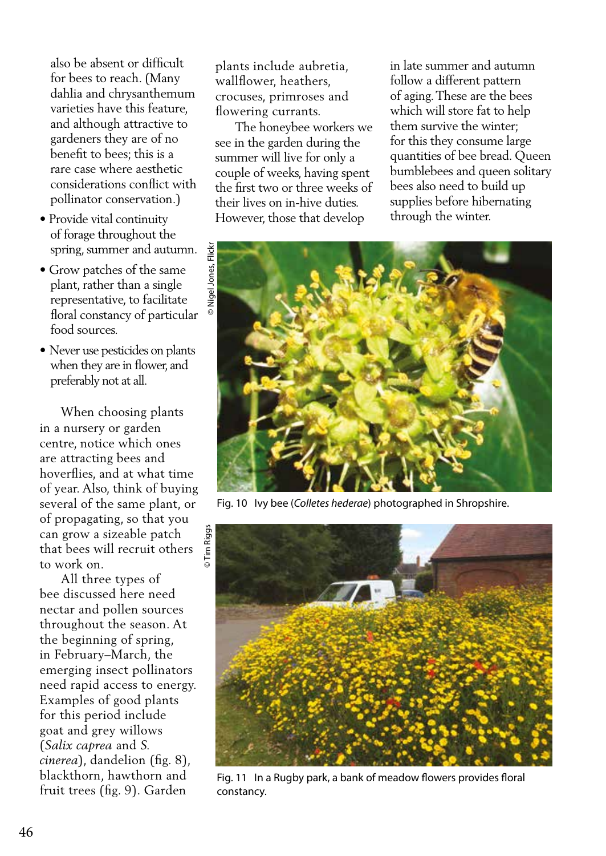also be absent or difficult for bees to reach. (Many dahlia and chrysanthemum varieties have this feature, and although attractive to gardeners they are of no benefit to bees; this is a rare case where aesthetic considerations conflict with pollinator conservation.)

- Provide vital continuity of forage throughout the spring, summer and autumn.
- Grow patches of the same plant, rather than a single representative, to facilitate floral constancy of particular food sources.
- Never use pesticides on plants when they are in flower, and preferably not at all.

 When choosing plants in a nursery or garden centre, notice which ones are attracting bees and hoverflies, and at what time of year. Also, think of buying several of the same plant, or of propagating, so that you can grow a sizeable patch that bees will recruit others to work on.

 All three types of bee discussed here need nectar and pollen sources throughout the season. At the beginning of spring, in February–March, the emerging insect pollinators need rapid access to energy. Examples of good plants for this period include goat and grey willows (*Salix caprea* and *S. cinerea*), dandelion (fig. 8), blackthorn, hawthorn and fruit trees (fig. 9). Garden

plants include aubretia, wallflower, heathers, crocuses, primroses and flowering currants.

 The honeybee workers we see in the garden during the summer will live for only a couple of weeks, having spent the first two or three weeks of their lives on in-hive duties. However, those that develop

in late summer and autumn follow a different pattern of aging. These are the bees which will store fat to help them survive the winter; for this they consume large quantities of bee bread. Queen bumblebees and queen solitary bees also need to build up supplies before hibernating through the winter.



Fig. 10 Ivy bee (*Colletes hederae*) photographed in Shropshire.



Fig. 11 In a Rugby park, a bank of meadow flowers provides floral constancy.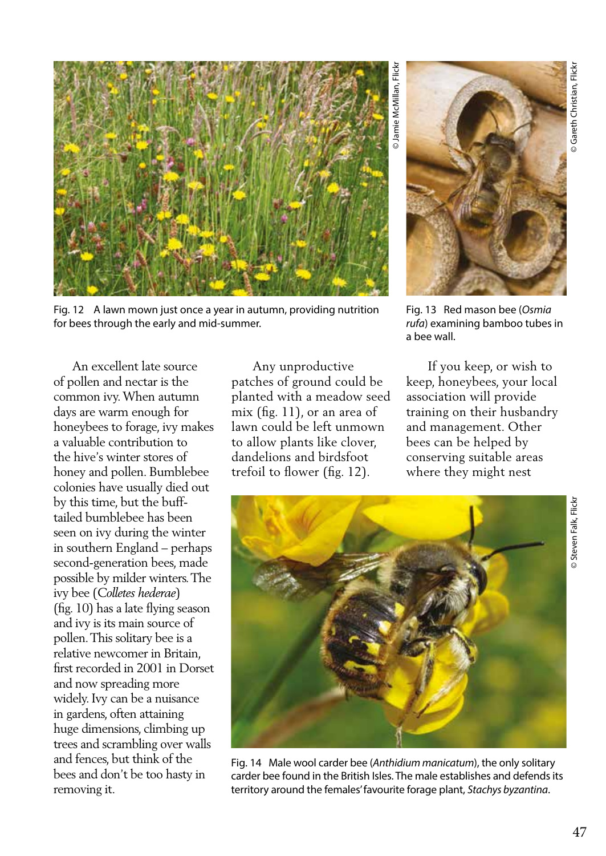

Fig. 12 A lawn mown just once a year in autumn, providing nutrition for bees through the early and mid-summer.

 An excellent late source of pollen and nectar is the common ivy. When autumn days are warm enough for honeybees to forage, ivy makes a valuable contribution to the hive's winter stores of honey and pollen. Bumblebee colonies have usually died out by this time, but the bufftailed bumblebee has been seen on ivy during the winter in southern England – perhaps second-generation bees, made possible by milder winters. The ivy bee (*Colletes hederae*) (fig. 10) has a late flying season and ivy is its main source of pollen. This solitary bee is a relative newcomer in Britain, first recorded in 2001 in Dorset and now spreading more widely. Ivy can be a nuisance in gardens, often attaining huge dimensions, climbing up trees and scrambling over walls and fences, but think of the bees and don't be too hasty in removing it.

 Any unproductive patches of ground could be planted with a meadow seed mix (fig. 11), or an area of lawn could be left unmown to allow plants like clover, dandelions and birdsfoot trefoil to flower (fig. 12).



Fig. 13 Red mason bee (*Osmia rufa*) examining bamboo tubes in a bee wall.

 If you keep, or wish to keep, honeybees, your local association will provide training on their husbandry and management. Other bees can be helped by conserving suitable areas where they might nest



Fig. 14 Male wool carder bee (*Anthidium manicatum*), the only solitary carder bee found in the British Isles. The male establishes and defends its territory around the females' favourite forage plant, *Stachys byzantina*.